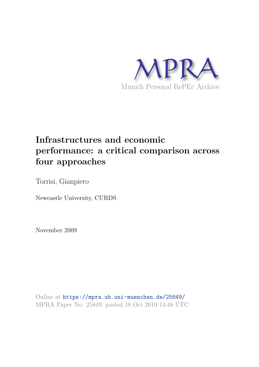

# **Infrastructures and economic performance: a critical comparison across four approaches**

Torrisi, Gianpiero

Newcastle University, CURDS

November 2009

Online at https://mpra.ub.uni-muenchen.de/25849/ MPRA Paper No. 25849, posted 18 Oct 2010 14:48 UTC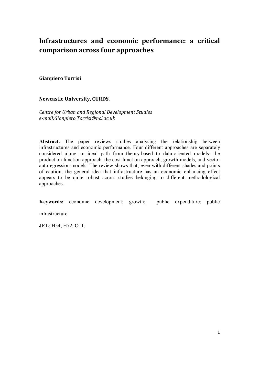## **Infrastructures and economic performance: a critical comparison across four approaches**

#### **Gianpiero Torrisi**

#### **Newcastle University, CURDS.**

*Centre for Urban and Regional Development Studies e-mail:Gianpiero.Torrisi@ncl.ac.uk* 

**Abstract.** The paper reviews studies analysing the relationship between infrastructures and economic performance. Four different approaches are separately considered along an ideal path from theory-based to data-oriented models: the production function approach, the cost function approach, growth-models, and vector autoregression models. The review shows that, even with different shades and points of caution, the general idea that infrastructure has an economic enhancing effect appears to be quite robust across studies belonging to different methodological approaches.

**Keywords:** economic development; growth; public expenditure; public

infrastructure.

**JEL**: H54, H72, O11.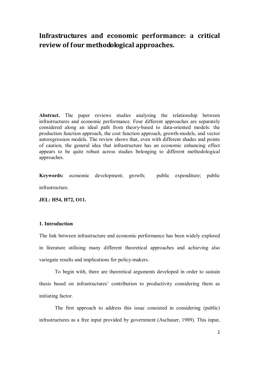### **Infrastructures and economic performance: a critical review of four methodological approaches.**

**Abstract.** The paper reviews studies analysing the relationship between infrastructures and economic performance. Four different approaches are separately considered along an ideal path from theory-based to data-oriented models: the production function approach, the cost function approach, growth-models, and vector autoregression models. The review shows that, even with different shades and points of caution, the general idea that infrastructure has an economic enhancing effect appears to be quite robust across studies belonging to different methodological approaches.

**Keywords:** economic development; growth; public expenditure; public **infrastructure** 

**JEL: H54, H72, O11.** 

#### **1. Introduction**

The link between infrastructure and economic performance has been widely explored in literature utilising many different theoretical approaches and achieving also variegate results and implications for policy-makers.

To begin with, there are theoretical arguments developed in order to sustain thesis based on infrastructures' contribution to productivity considering them as initiating factor.

The first approach to address this issue consisted in considering (public) infrastructures as a free input provided by government (Aschauer, 1989). This input,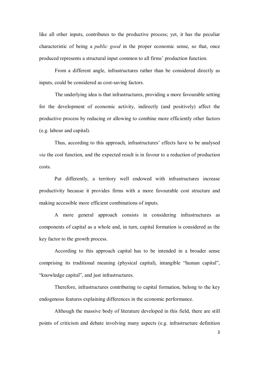like all other inputs, contributes to the productive process; yet, it has the peculiar characteristic of being a *public good* in the proper economic sense, so that, once produced represents a structural input common to all firms' production function.

From a different angle, infrastructures rather than be considered directly as inputs, could be considered as cost-saving factors.

The underlying idea is that infrastructures, providing a more favourable setting for the development of economic activity, indirectly (and positively) affect the productive process by reducing or allowing to combine more efficiently other factors (e.g. labour and capital).

Thus, according to this approach, infrastructures' effects have to be analysed *via* the cost function, and the expected result is in favour to a reduction of production costs.

Put differently, a territory well endowed with infrastructures increase productivity because it provides firms with a more favourable cost structure and making accessible more efficient combinations of inputs.

 A more general approach consists in considering infrastructures as components of capital as a whole and, in turn, capital formation is considered as the key factor to the growth process.

According to this approach capital has to be intended in a broader sense comprising its traditional meaning (physical capital), intangible "human capital", "knowledge capital", and just infrastructures.

Therefore, infrastructures contributing to capital formation, belong to the key endogenous features explaining differences in the economic performance.

Although the massive body of literature developed in this field, there are still points of criticism and debate involving many aspects (e.g. infrastructure definition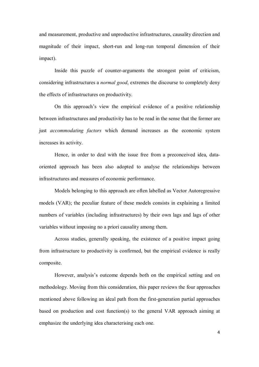and measurement, productive and unproductive infrastructures, causality direction and magnitude of their impact, short-run and long-run temporal dimension of their impact).

Inside this puzzle of counter-arguments the strongest point of criticism, considering infrastructures a *normal good*, extremes the discourse to completely deny the effects of infrastructures on productivity.

On this approach's view the empirical evidence of a positive relationship between infrastructures and productivity has to be read in the sense that the former are just *accommodating factors* which demand increases as the economic system increases its activity.

Hence, in order to deal with the issue free from a preconceived idea, dataoriented approach has been also adopted to analyse the relationships between infrastructures and measures of economic performance.

Models belonging to this approach are often labelled as Vector Autoregressive models (VAR); the peculiar feature of these models consists in explaining a limited numbers of variables (including infrastructures) by their own lags and lags of other variables without imposing no a priori causality among them.

Across studies, generally speaking, the existence of a positive impact going from infrastructure to productivity is confirmed, but the empirical evidence is really composite.

However, analysis's outcome depends both on the empirical setting and on methodology. Moving from this consideration, this paper reviews the four approaches mentioned above following an ideal path from the first-generation partial approaches based on production and cost function(s) to the general VAR approach aiming at emphasize the underlying idea characterising each one.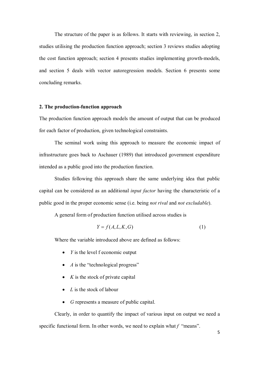The structure of the paper is as follows. It starts with reviewing, in section 2, studies utilising the production function approach; section 3 reviews studies adopting the cost function approach; section 4 presents studies implementing growth-models, and section 5 deals with vector autoregression models. Section 6 presents some concluding remarks.

#### **2. The production-function approach**

The production function approach models the amount of output that can be produced for each factor of production, given technological constraints.

The seminal work using this approach to measure the economic impact of infrastructure goes back to Aschauer (1989) that introduced government expenditure intended as a public good into the production function.

Studies following this approach share the same underlying idea that public capital can be considered as an additional *input factor* having the characteristic of a public good in the proper economic sense (i.e. being *not rival* and *not excludable*).

A general form of production function utilised across studies is

$$
Y = f(A, L, K, G) \tag{1}
$$

Where the variable introduced above are defined as follows:

- *Y* is the level f economic output
- *A* is the "technological progress"
- $\bullet$  *K* is the stock of private capital
- *L* is the stock of labour
- *G* represents a measure of public capital.

Clearly, in order to quantify the impact of various input on output we need a specific functional form. In other words, we need to explain what *f* "means".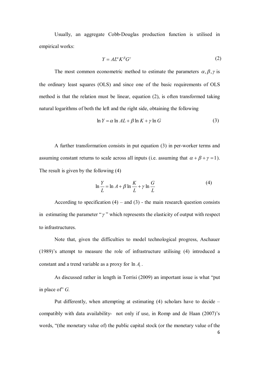Usually, an aggregate Cobb-Douglas production function is utilised in empirical works:

$$
Y = AL^{\alpha} K^{\beta} G^{\gamma} \tag{2}
$$

The most common econometric method to estimate the parameters  $\alpha$ ,  $\beta$ ,  $\gamma$  is the ordinary least squares (OLS) and since one of the basic requirements of OLS method is that the relation must be linear, equation (2), is often transformed taking natural logarithms of both the left and the right side, obtaining the following

$$
\ln Y = \alpha \ln AL + \beta \ln K + \gamma \ln G \tag{3}
$$

A further transformation consists in put equation (3) in per-worker terms and assuming constant returns to scale across all inputs (i.e. assuming that  $\alpha + \beta + \gamma = 1$ ). The result is given by the following (4)

$$
\ln\frac{Y}{L} = \ln A + \beta \ln \frac{K}{L} + \gamma \ln \frac{G}{L}
$$
 (4)

According to specification  $(4)$  – and  $(3)$  - the main research question consists in estimating the parameter " $\gamma$ " which represents the elasticity of output with respect to infrastructures.

Note that, given the difficulties to model technological progress, Aschauer (1989)'s attempt to measure the role of infrastructure utilising (4) introduced a constant and a trend variable as a proxy for  $\ln A_t$ .

As discussed rather in length in Torrisi (2009) an important issue is what "put in place of" *G.*

Put differently, when attempting at estimating (4) scholars have to decide – compatibly with data availability- not only if use, in Romp and de Haan (2007)'s words, "(the monetary value of) the public capital stock (or the monetary value of the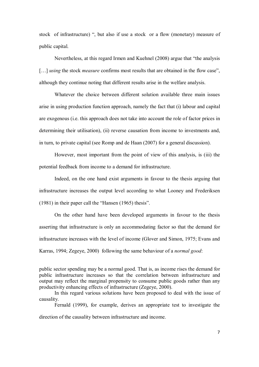stock of infrastructure) ", but also if use a stock or a flow (monetary) measure of public capital.

Nevertheless, at this regard Irmen and Kuehnel (2008) argue that "the analysis [...] *using* the stock *measure* confirms most results that are obtained in the flow case", although they continue noting that different results arise in the welfare analysis.

Whatever the choice between different solution available three main issues arise in using production function approach, namely the fact that (i) labour and capital are exogenous (i.e. this approach does not take into account the role of factor prices in determining their utilisation), (ii) reverse causation from income to investments and, in turn, to private capital (see Romp and de Haan (2007) for a general discussion).

However, most important from the point of view of this analysis, is (iii) the potential feedback from income to a demand for infrastructure.

Indeed, on the one hand exist arguments in favour to the thesis arguing that infrastructure increases the output level according to what Looney and Frederiksen (1981) in their paper call the "Hansen (1965) thesis".

On the other hand have been developed arguments in favour to the thesis asserting that infrastructure is only an accommodating factor so that the demand for infrastructure increases with the level of income (Glover and Simon, 1975; Evans and Karras, 1994; Zegeye, 2000) following the same behaviour of a *normal good*:

Fernald (1999), for example, derives an appropriate test to investigate the direction of the causality between infrastructure and income.

public sector spending may be a normal good. That is, as income rises the demand for public infrastructure increases so that the correlation between infrastructure and output may reflect the marginal propensity to consume public goods rather than any productivity enhancing effects of infrastructure (Zegeye, 2000).

In this regard various solutions have been proposed to deal with the issue of causality.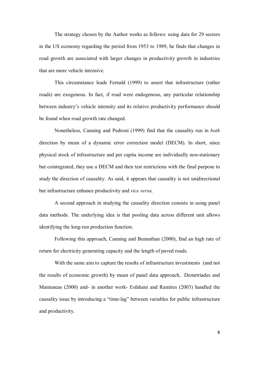The strategy chosen by the Author works as follows: using data for 29 sectors in the US economy regarding the period from 1953 to 1989, he finds that changes in road growth are associated with larger changes in productivity growth in industries that are more vehicle intensive.

This circumstance leads Fernald (1999) to assert that infrastructure (rather roads) are exogenous. In fact, if road were endogenous, any particular relationship between industry's vehicle intensity and its relative productivity performance should be found when road growth rate changed.

Nonetheless, Canning and Pedroni (1999) find that the causality run in *both* direction by mean of a dynamic error correction model (DECM). In short, since physical stock of infrastructure and per capita income are individually non-stationary but cointegrated, they use a DECM and then test restrictions with the final purpose to study the direction of causality. As said, it appears that causality is not unidirectional but infrastructure enhance productivity and *vice versa*.

A second approach in studying the causality direction consists in using panel data methods. The underlying idea is that pooling data across different unit allows identifying the long-run production function.

Following this approach, Canning and Bennathan (2000), find an high rate of return for electricity generating capacity and the length of paved roads.

With the same aim to capture the results of infrastructure investments (and not the results of economic growth) by mean of panel data approach, Demetriades and Mamuneas (2000) and- in another work- Esfahani and Ramìres (2003) handled the causality issue by introducing a "time-lag" between variables for public infrastructure and productivity.

8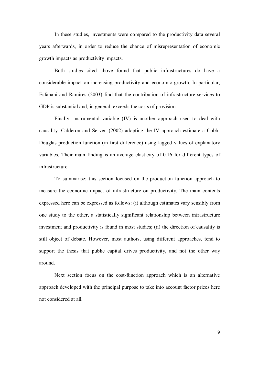In these studies, investments were compared to the productivity data several years afterwards, in order to reduce the chance of misrepresentation of economic growth impacts as productivity impacts.

Both studies cited above found that public infrastructures do have a considerable impact on increasing productivity and economic growth. In particular, Esfahani and Ramìres (2003) find that the contribution of infrastructure services to GDP is substantial and, in general, exceeds the costs of provision.

Finally, instrumental variable (IV) is another approach used to deal with causality. Calderon and Serven (2002) adopting the IV approach estimate a Cobb-Douglas production function (in first difference) using lagged values of explanatory variables. Their main finding is an average elasticity of 0.16 for different types of infrastructure.

To summarise: this section focused on the production function approach to measure the economic impact of infrastructure on productivity. The main contents expressed here can be expressed as follows: (i) although estimates vary sensibly from one study to the other, a statistically significant relationship between infrastructure investment and productivity is found in most studies; (ii) the direction of causality is still object of debate. However, most authors, using different approaches, tend to support the thesis that public capital drives productivity, and not the other way around.

Next section focus on the cost-function approach which is an alternative approach developed with the principal purpose to take into account factor prices here not considered at all.

9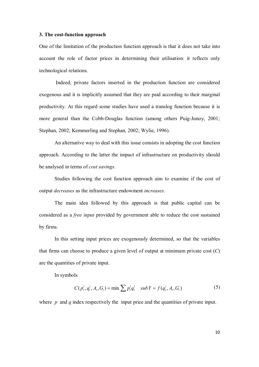#### **3. The cost-function approach**

One of the limitation of the production function approach is that it does not take into account the role of factor prices in determining their utilisation: it reflects only technological relations.

 Indeed, private factors inserted in the production function are considered exogenous and it is implicitly assumed that they are paid according to their marginal productivity. At this regard some studies have used a translog function because it is more general than the Cobb-Douglas function (among others Puig-Junoy, 2001; Stephan, 2002; Kemmerling and Stephan, 2002; Wylie, 1996).

An alternative way to deal with this issue consists in adopting the cost function approach. According to the latter the impact of infrastructure on productivity should be analysed in terms of *cost savings*.

Studies following the cost function approach aim to examine if the cost of output *decreases* as the infrastructure endowment *increases*.

The main idea followed by this approach is that public capital can be considered as a *free input* provided by government able to reduce the cost sustained by firms.

In this setting input prices are exogenously determined, so that the variables that firms can choose to produce a given level of output at minimum private cost (*C*) are the quantities of private input.

In symbols

$$
C(p_t^i, q_t^i, A_t, G_t) = \min \sum p_t^i q_t^i \quad sub \ Y = f(q_t^i, A_t, G_t)
$$
 (5)

where *p* and *q* index respectively the input price and the quantities of private input.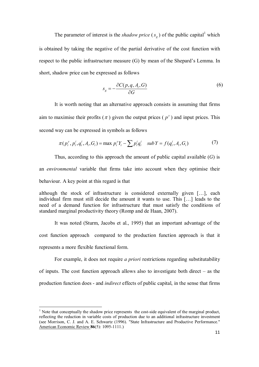The parameter of interest is the *shadow price*  $(s_g)$  of the public capital<sup>1</sup> which is obtained by taking the negative of the partial derivative of the cost function with respect to the public infrastructure measure (G) by mean of the Shepard's Lemma. In short, shadow price can be expressed as follows

$$
s_g = -\frac{\partial C(p, q, A_i, G)}{\partial G} \tag{6}
$$

It is worth noting that an alternative approach consists in assuming that firms aim to maximise their profits ( $\pi$ ) given the output prices ( $p^{\nu}$ ) and input prices. This second way can be expressed in symbols as follows

$$
\pi(p_t^y, p_t^i, q_t^i, A_t, G_t) = \max p_t^y Y_t - \sum p_t^i q_t^i \quad \text{sub } Y = f(q_t^i, A_t, G_t)
$$
 (7)

Thus, according to this approach the amount of public capital available (*G*) is an *environmental* variable that firms take into account when they optimise their behaviour. A key point at this regard is that

although the stock of infrastructure is considered externally given […], each individual firm must still decide the amount it wants to use. This […] leads to the need of a demand function for infrastructure that must satisfy the conditions of standard marginal productivity theory (Romp and de Haan, 2007).

It was noted (Sturm, Jacobs et al., 1995) that an important advantage of the cost function approach compared to the production function approach is that it represents a more flexible functional form.

For example, it does not require *a priori* restrictions regarding substitutability of inputs. The cost function approach allows also to investigate both direct – as the production function does - and *indirect* effects of public capital, in the sense that firms

 $\overline{a}$ 

<sup>&</sup>lt;sup>1</sup> Note that conceptually the shadow price represents the cost-side equivalent of the marginal product, reflecting the reduction in variable costs of production due to an additional infrastructure investment (see Morrison, C. J. and A. E. Schwartz (1996). "State Infrastructure and Productive Performance." American Economic Review **86**(5): 1095-1111.)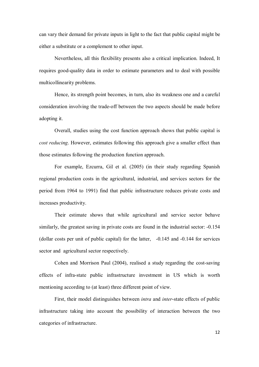can vary their demand for private inputs in light to the fact that public capital might be either a substitute or a complement to other input.

Nevertheless, all this flexibility presents also a critical implication. Indeed, It requires good-quality data in order to estimate parameters and to deal with possible multicollinearity problems.

Hence, its strength point becomes, in turn, also its weakness one and a careful consideration involving the trade-off between the two aspects should be made before adopting it.

Overall, studies using the cost function approach shows that public capital is *cost reducing*. However, estimates following this approach give a smaller effect than those estimates following the production function approach.

For example, Ezcurra, Gil et al. (2005) (in their study regarding Spanish regional production costs in the agricultural, industrial, and services sectors for the period from 1964 to 1991) find that public infrastructure reduces private costs and increases productivity.

Their estimate shows that while agricultural and service sector behave similarly, the greatest saving in private costs are found in the industrial sector: -0.154 (dollar costs per unit of public capital) for the latter, -0.145 and -0.144 for services sector and agricultural sector respectively.

Cohen and Morrison Paul (2004), realised a study regarding the cost-saving effects of infra-state public infrastructure investment in US which is worth mentioning according to (at least) three different point of view.

First, their model distinguishes between *intra* and *inter*-state effects of public infrastructure taking into account the possibility of interaction between the two categories of infrastructure.

12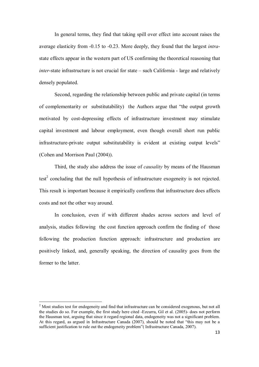In general terms, they find that taking spill over effect into account raises the average elasticity from -0.15 to -0.23. More deeply, they found that the largest *intra*state effects appear in the western part of US confirming the theoretical reasoning that *inter*-state infrastructure is not crucial for state – such California - large and relatively densely populated.

Second, regarding the relationship between public and private capital (in terms of complementarity or substitutability) the Authors argue that "the output growth motivated by cost-depressing effects of infrastructure investment may stimulate capital investment and labour employment, even though overall short run public infrastructure-private output substitutability is evident at existing output levels" (Cohen and Morrison Paul (2004)).

Third, the study also address the issue of *causality* by means of the Hausman  $test<sup>2</sup>$  concluding that the null hypothesis of infrastructure exogeneity is not rejected. This result is important because it empirically confirms that infrastructure does affects costs and not the other way around.

In conclusion, even if with different shades across sectors and level of analysis, studies following the cost function approach confirm the finding of those following the production function approach: infrastructure and production are positively linked, and, generally speaking, the direction of causality goes from the former to the latter.

 $\overline{a}$ 

 $2^{2}$  Most studies test for endogeneity and find that infrastructure can be considered exogenous, but not all the studies do so. For example, the first study here cited -Ezcurra, Gil et al. (2005)- does not perform the Hausman test, arguing that since it regard regional data, endogeneity was not a significant problem. At this regard, as argued in Infrastructure Canada (2007), should be noted that "this may not be a sufficient justification to rule out the endogeneity problem" (Infrastructure Canada, 2007).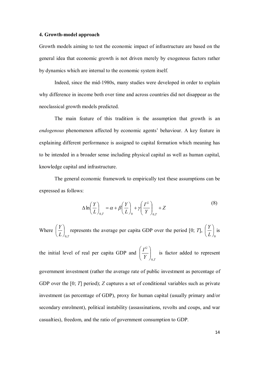#### **4. Growth-model approach**

Growth models aiming to test the economic impact of infrastructure are based on the general idea that economic growth is not driven merely by exogenous factors rather by dynamics which are internal to the economic system itself.

Indeed, since the mid-1980s, many studies were developed in order to explain why difference in income both over time and across countries did not disappear as the neoclassical growth models predicted.

The main feature of this tradition is the assumption that growth is an *endogenous* phenomenon affected by economic agents' behaviour. A key feature in explaining different performance is assigned to capital formation which meaning has to be intended in a broader sense including physical capital as well as human capital, knowledge capital and infrastructure.

The general economic framework to empirically test these assumptions can be expressed as follows:

$$
\Delta \ln \left( \frac{Y}{L} \right)_{0,T} = \alpha + \beta \left( \frac{Y}{L} \right)_{0} + \gamma \left( \frac{I^G}{Y} \right)_{0,T} + Z \tag{8}
$$

Where  $L$   $\int_{0,I}$ *Y* ,0  $\overline{\phantom{a}}$ J  $\left(\frac{Y}{I}\right)$ J  $\left(\frac{Y}{Y}\right)$  represents the average per capita GDP over the period [0; *T*], 0  $\overline{\phantom{a}}$ J  $\left(\frac{Y}{I}\right)$  $\setminus$ ſ *L*  $\frac{Y}{Y}$  is

the initial level of real per capita GDP and *T G Y I* ,0  $\overline{\phantom{a}}$  $\bigg)$  $\setminus$  $\overline{\phantom{a}}$  $\setminus$ ſ is factor added to represent

government investment (rather the average rate of public investment as percentage of GDP over the [0; *T*] period); *Z* captures a set of conditional variables such as private investment (as percentage of GDP), proxy for human capital (usually primary and/or secondary enrolment), political instability (assassinations, revolts and coups, and war casualties), freedom, and the ratio of government consumption to GDP.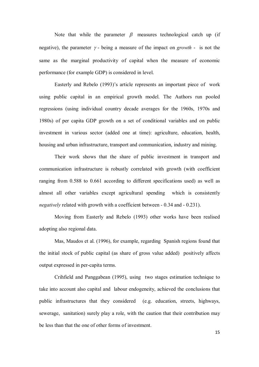Note that while the parameter  $\beta$  measures technological catch up (if negative), the parameter  $\gamma$ - being a measure of the impact on *growth* - is not the same as the marginal productivity of capital when the measure of economic performance (for example GDP) is considered in level.

 Easterly and Rebelo (1993)'s article represents an important piece of work using public capital in an empirical growth model. The Authors run pooled regressions (using individual country decade averages for the 1960s, 1970s and 1980s) of per capita GDP growth on a set of conditional variables and on public investment in various sector (added one at time): agriculture, education, health, housing and urban infrastructure, transport and communication, industry and mining.

Their work shows that the share of public investment in transport and communication infrastructure is robustly correlated with growth (with coefficient ranging from 0.588 to 0.661 according to different specifications used) as well as almost all other variables except agricultural spending which is consistently *negatively* related with growth with a coefficient between - 0.34 and - 0.231).

Moving from Easterly and Rebelo (1993) other works have been realised adopting also regional data.

Mas, Maudos et al. (1996), for example, regarding Spanish regions found that the initial stock of public capital (as share of gross value added) positively affects output expressed in per-capita terms.

Crihfield and Panggabean (1995), using two stages estimation technique to take into account also capital and labour endogeneity, achieved the conclusions that public infrastructures that they considered (e.g. education, streets, highways, sewerage, sanitation) surely play a role, with the caution that their contribution may be less than that the one of other forms of investment.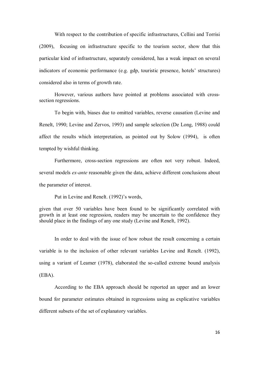With respect to the contribution of specific infrastructures, Cellini and Torrisi (2009), focusing on infrastructure specific to the tourism sector, show that this particular kind of infrastructure, separately considered, has a weak impact on several indicators of economic performance (e.g. gdp, touristic presence, hotels' structures) considered also in terms of growth rate.

However, various authors have pointed at problems associated with crosssection regressions.

To begin with, biases due to omitted variables, reverse causation (Levine and Renelt, 1990; Levine and Zervos, 1993) and sample selection (De Long, 1988) could affect the results which interpretation, as pointed out by Solow (1994), is often tempted by wishful thinking.

Furthermore, cross-section regressions are often not very robust. Indeed, several models *ex-ante* reasonable given the data, achieve different conclusions about the parameter of interest.

Put in Levine and Renelt. (1992)'s words,

given that over 50 variables have been found to be significantly correlated with growth in at least one regression, readers may be uncertain to the confidence they should place in the findings of any one study (Levine and Renelt, 1992).

In order to deal with the issue of how robust the result concerning a certain variable is to the inclusion of other relevant variables Levine and Renelt. (1992), using a variant of Leamer (1978), elaborated the so-called extreme bound analysis (EBA).

According to the EBA approach should be reported an upper and an lower bound for parameter estimates obtained in regressions using as explicative variables different subsets of the set of explanatory variables.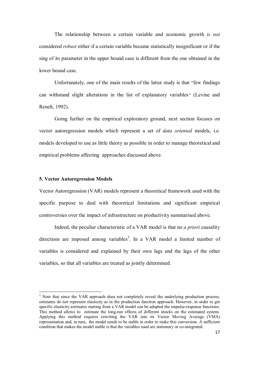The relationship between a certain variable and economic growth *is not* considered *robust* either if a certain variable became statistically insignificant or if the sing of its parameter in the upper bound case is different from the one obtained in the lower bound case.

Unfortunately, one of the main results of the latter study is that "few findings can withstand slight alterations in the list of explanatory variables" (Levine and Renelt, 1992).

Going further on the empirical exploratory ground, next section focuses on vector autoregression models which represent a set of *data oriented* models, i.e. models developed to use as little theory as possible in order to manage theoretical and empirical problems affecting approaches discussed above.

#### **5. Vector Autoregression Models**

 $\overline{a}$ 

Vector Autoregression (VAR) models represent a theoretical framework used with the specific purpose to deal with theoretical limitations and significant empirical controversies over the impact of infrastructure on productivity summarised above.

Indeed, the peculiar characteristic of a VAR model is that no *a priori* causality directions are imposed among variables<sup>3</sup>. In a VAR model a limited number of variables is considered and explained by their own lags and the lags of the other variables, so that all variables are treated as jointly determined.

<sup>&</sup>lt;sup>3</sup> Note that since the VAR approach does not completely reveal the underlying production process, estimates do not represent elasticity as in the production function approach. However, in order to get specific elasticity estimates starting from a VAR model can be adopted the impulse-response functions. This method allows to estimate the long-run effects of different shocks on the estimated system. Applying this method requires rewriting the VAR into its Vector Moving Average (VMA) representation and, in turn, the model needs to be stable in order to make this conversion. A sufficient condition that makes the model stable is that the variables used are stationary or co-integrated.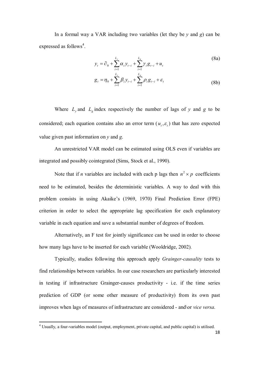In a formal way a VAR including two variables (let they be *y* and *g*) can be expressed as follows<sup>4</sup>.

$$
y_{t} = \partial_{0} + \sum_{i=1}^{L_{y}} \alpha_{i} y_{t-i} + \sum_{i=1}^{L_{g}} \gamma_{i} g_{t-i} + u_{t}
$$
\n(8a)

$$
g_{t} = \eta_{0} + \sum_{i=1}^{L_{y}} \beta_{i} y_{t-i} + \sum_{i=1}^{L_{g}} \rho_{i} g_{t-i} + \varepsilon_{t}
$$
(8b)

Where  $L_y$  and  $L_g$  index respectively the number of lags of *y* and *g* to be considered; each equation contains also an error term  $(u_t, \varepsilon_t)$  that has zero expected value given past information on *y* and *g*.

An unrestricted VAR model can be estimated using OLS even if variables are integrated and possibly cointegrated (Sims, Stock et al., 1990).

Note that if *n* variables are included with each p lags then  $n^2 \times p$  coefficients need to be estimated, besides the deterministic variables. A way to deal with this problem consists in using Akaike's (1969, 1970) Final Prediction Error (FPE) criterion in order to select the appropriate lag specification for each explanatory variable in each equation and save a substantial number of degrees of freedom.

Alternatively, an F test for jointly significance can be used in order to choose how many lags have to be inserted for each variable (Wooldridge, 2002).

Typically, studies following this approach apply *Grainger-causality* tests to find relationships between variables. In our case researchers are particularly interested in testing if infrastructure Grainger-causes productivity - i.e. if the time series prediction of GDP (or some other measure of productivity) from its own past improves when lags of measures of infrastructure are considered - and\or *vice versa*.

 $\overline{a}$ 

<sup>&</sup>lt;sup>4</sup> Usually, a four-variables model (output, employment, private capital, and public capital) is utilised.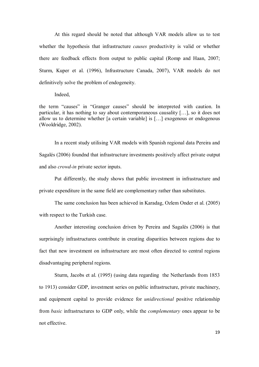At this regard should be noted that although VAR models allow us to test whether the hypothesis that infrastructure *causes* productivity is valid or whether there are feedback effects from output to public capital (Romp and Haan, 2007; Sturm, Kuper et al. (1996), Infrastructure Canada, 2007), VAR models do not definitively solve the problem of endogeneity.

#### Indeed,

the term "causes" in "Granger causes" should be interpreted with caution. In particular, it has nothing to say about contemporaneous causality […], so it does not allow us to determine whether [a certain variable] is […] exogenous or endogenous (Wooldridge, 2002).

In a recent study utilising VAR models with Spanish regional data Pereira and Sagalés (2006) foundnd that infrastructure investments positively affect private output and also *crowd-in* private sector inputs.

Put differently, the study shows that public investment in infrastructure and private expenditure in the same field are complementary rather than substitutes.

The same conclusion has been achieved in Karadag, Ozlem Onder et al. (2005) with respect to the Turkish case.

Another interesting conclusion driven by Pereira and Sagalés (2006) is that surprisingly infrastructures contribute in creating disparities between regions due to fact that new investment on infrastructure are most often directed to central regions disadvantaging peripheral regions.

Sturm, Jacobs et al. (1995) (using data regarding the Netherlands from 1853 to 1913) consider GDP, investment series on public infrastructure, private machinery, and equipment capital to provide evidence for *unidirectional* positive relationship from *basic* infrastructures to GDP only, while the *complementary* ones appear to be not effective.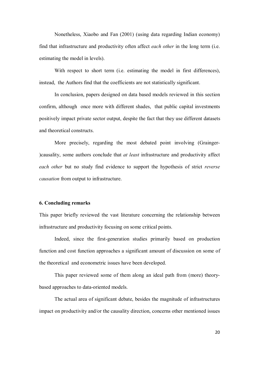Nonetheless, Xiaobo and Fan (2001) (using data regarding Indian economy) find that infrastructure and productivity often affect *each other* in the long term (i.e. estimating the model in levels).

With respect to short term (i.e. estimating the model in first differences), instead, the Authors find that the coefficients are not statistically significant.

In conclusion, papers designed on data based models reviewed in this section confirm, although once more with different shades, that public capital investments positively impact private sector output, despite the fact that they use different datasets and theoretical constructs.

More precisely, regarding the most debated point involving (Grainger- )causality, some authors conclude that *at least* infrastructure and productivity affect *each other* but no study find evidence to support the hypothesis of strict *reverse causation* from output to infrastructure.

#### **6. Concluding remarks**

This paper briefly reviewed the vast literature concerning the relationship between infrastructure and productivity focusing on some critical points.

Indeed, since the first-generation studies primarily based on production function and cost function approaches a significant amount of discussion on some of the theoretical and econometric issues have been developed.

This paper reviewed some of them along an ideal path from (more) theorybased approaches to data-oriented models.

The actual area of significant debate, besides the magnitude of infrastructures impact on productivity and/or the causality direction, concerns other mentioned issues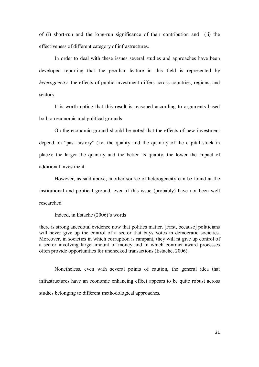of (i) short-run and the long-run significance of their contribution and (ii) the effectiveness of different category of infrastructures.

In order to deal with these issues several studies and approaches have been developed reporting that the peculiar feature in this field is represented by *heterogeneity*: the effects of public investment differs across countries, regions, and sectors.

It is worth noting that this result is reasoned according to arguments based both on economic and political grounds.

On the economic ground should be noted that the effects of new investment depend on "past history" (i.e. the quality and the quantity of the capital stock in place): the larger the quantity and the better its quality, the lower the impact of additional investment.

However, as said above, another source of heterogeneity can be found at the institutional and political ground, even if this issue (probably) have not been well researched.

Indeed, in Estache (2006)'s words

there is strong anecdotal evidence now that politics matter. [First, because] politicians will never give up the control of a sector that buys votes in democratic societies. Moreover, in societies in which corruption is rampant, they will nt give up control of a sector involving large amount of money and in which contract award processes often provide opportunities for unchecked transactions (Estache, 2006).

Nonetheless, even with several points of caution, the general idea that infrastructures have an economic enhancing effect appears to be quite robust across studies belonging to different methodological approaches.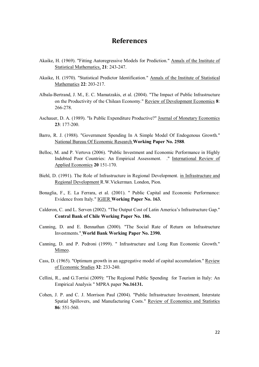### **References**

- Akaike, H. (1969). "Fitting Autoregressive Models for Prediction." Annals of the Institute of Statistical Mathematics, **21**: 243-247.
- Akaike, H. (1970). "Statistical Predictor Identification." Annals of the Institute of Statistical Mathematics **22**: 203-217.
- Albala-Bertrand, J. M., E. C. Mamatzakis, et al. (2004). "The Impact of Public Infrastructure on the Productivity of the Chilean Economy." Review of Development Economics **8**: 266-278.
- Aschauer, D. A. (1989). "Is Public Expenditure Productive?" Journal of Monetary Economics **23**: 177-200.
- Barro, R. J. (1988). "Government Spending In A Simple Model Of Endogenous Growth." National Bureau Of Economic Research **Working Paper No. 2588**.
- Belloc, M. and P. Vertova (2006). "Public Investment and Economic Performance in Highly Indebted Poor Countries: An Empirical Assessment. ." International Review of Applied Economics **20** 151-170.
- Biehl, D. (1991). The Role of Infrastructure in Regional Development. in Infrastructure and Regional Development R.W.Vickerman. London, Pion.
- Bonaglia, F., E. La Ferrara, et al. (2001). " Public Capital and Economic Performance: Evidence from Italy." IGIER **Working Paper No. 163.**
- Calderon, C. and L. Serven (2002). "The Output Cost of Latin America's Infrastructure Gap." **Central Bank of Chile Working Paper No. 186.**
- Canning, D. and E. Bennathan (2000). "The Social Rate of Return on Infrastructure Investments." **World Bank Working Paper No. 2390.**
- Canning, D. and P. Pedroni (1999). " Infrastructure and Long Run Economic Growth." Mimeo.
- Cass, D. (1965). "Optimum growth in an aggregative model of capital accumulation." Review of Economic Studies **32**: 233-240.
- Cellini, R., and G.Torrisi (2009): "The Regional Public Spending for Tourism in Italy: An Empirical Analysis " MPRA paper **No.16131.**
- Cohen, J. P. and C. J. Morrison Paul (2004). "Public Infrastructure Investment, Interstate Spatial Spillovers, and Manufacturing Costs." Review of Economics and Statistics **86**: 551-560.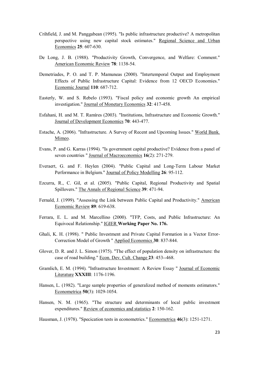- Crihfield, J. and M. Panggabean (1995). "Is public infrastructure productive? A metropolitan perspective using new capital stock estimates." Regional Science and Urban Economics **25**: 607-630.
- De Long, J. B. (1988). "Productivity Growth, Convergence, and Welfare: Comment." American Economic Review **78**: 1138-54.
- Demetriades, P. O. and T. P. Mamuneas (2000). "Intertemporal Output and Employment Effects of Public Infrastructure Capital: Evidence from 12 OECD Economies." Economic Journal **110**: 687-712.
- Easterly, W. and S. Rebelo (1993). "Fiscal policy and economic growth An empirical investigation." Journal of Monetary Economics **32**: 417-458.
- Esfahani, H. and M. T. Ramìres (2003). "Institutions, Infrastructure and Economic Growth." Journal of Development Economics **70**: 443-477.
- Estache, A. (2006). "Infrastructure. A Survey of Recent and Upcoming Issues." World Bank. Mimeo.
- Evans, P. and G. Karras (1994). "Is government capital productive? Evidence from a panel of seven countries " Journal of Macroeconomics **16**(2): 271-279.
- Everaert, G. and F. Heylen (2004). "Public Capital and Long-Term Labour Market Performance in Belgium." Journal of Policy Modelling **26**: 95-112.
- Ezcurra, R., C. Gil, et al. (2005). "Public Capital, Regional Productivity and Spatial Spillovers." The Annals of Regional Science **39**: 471-94.
- Fernald, J. (1999). "Assessing the Link between Public Capital and Productivity." American Economic Review **89**: 619-638.
- Ferrara, E. L. and M. Marcellino (2000). "TFP, Costs, and Public Infrastructure: An Equivocal Relationship." IGIER **Working Paper No. 176.**
- Ghali, K. H. (1998). " Public Investment and Private Capital Formation in a Vector Error-Correction Model of Growth " Applied Economics **30**: 837-844.
- Glover, D. R. and J. L. Simon (1975). "The effect of population density on infrastructure: the case of road building." Econ. Dev. Cult. Change **23**: 453--468.
- Gramlich, E. M. (1994). "Infrastructure Investment: A Review Essay " Journal of Economic Literature **XXXIII**: 1176-1196.
- Hansen, L. (1982). "Large sample properties of generalized method of moments estimators." Econometrica **50**(3): 1029-1054.
- Hansen, N. M. (1965). "The structure and determinants of local public investment expenditures." Review of economics and statistics **2**: 150-162.

Hausman, J. (1978). "Specication tests in econometrics." Econometrica **46**(3): 1251-1271.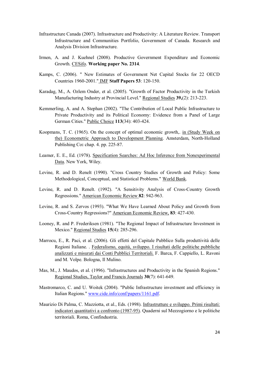- Infrastructure Canada (2007). Infrastructure and Productivity: A Literature Review. Transport Infrastructure and Communities Portfolio, Government of Canada. Research and Analysis Division Infrastructure.
- Irmen, A. and J. Kuehnel (2008). Productive Government Expenditure and Economic Growth. CESifo. **Working paper No. 2314**.
- Kamps, C. (2006). " New Estimates of Government Net Capital Stocks for 22 OECD Countries 1960-2001." IMF **Staff Papers 53**: 120-150.
- Karadag, M., A. Ozlem Onder, et al. (2005). "Growth of Factor Productivity in the Turkish Manufacturing Industry at Provincial Level." Regional Studies **39,**(2): 213-223.
- Kemmerling, A. and A. Stephan (2002). "The Contribution of Local Public Infrastructure to Private Productivity and its Political Economy: Evidence from a Panel of Large German Cities." Public Choice **113**(34): 403-424.
- Koopmans, T. C. (1965). On the concept of optimal economic growth,. in (Study Week on the) Econometric Approach to Development Planning. Amsterdam, North-Holland Publishing Co**:** chap. 4. pp. 225-87.
- Leamer, E. E., Ed. (1978). Specification Searches: Ad Hoc Inference from Nonexperimental Data. New York, Wiley.
- Levine, R. and D. Renelt (1990). "Cross Country Studies of Growth and Policy: Some Methodological, Conceptual, and Statistical Problems." World Bank.
- Levine, R. and D. Renelt. (1992). "A Sensitivity Analysis of Cross-Country Growth Regressions." American Economic Review **82**: 942-963.
- Levine, R. and S. Zervos (1993). "What We Have Learned About Policy and Growth from Cross-Country Regressions?" American Economic Review, **83**: 427-430.
- Looney, R. and P. Frederiksen (1981). "The Regional Impact of Infrastructure Investment in Mexico." Regional Studies **15**(4): 285-296.
- Marrocu, E., R. Paci, et al. (2006). Gli effetti del Capitale Pubblico Sulla produttività delle Regioni Italiane. . Federalismo, equità, sviluppo. I risultati delle politiche pubbliche analizzati e misurati dai Conti Pubblici Territoriali. F. Barca, F. Cappiello, L. Ravoni and M. Volpe. Bologna, Il Mulino.
- Mas, M., J. Maudos, et al. (1996). "Infrastructures and Productivity in the Spanish Regions." Regional Studies, Taylor and Francis Journals **30**(7): 641-649.
- Mastromarco, C. and U. Woitek (2004). "Public Infrastructure investment and efficiency in Italian Regions." www.cide.info/conf/papers/1161.pdf.
- Maurizio Di Palma, C. Mazziotta, et al., Eds. (1998). Infrastrutture e sviluppo. Primi risultati: indicatori quantitativi a confronto (1987-95). Quaderni sul Mezzogiorno e le politiche territoriali. Roma, Confindustria.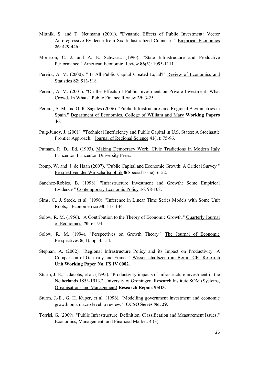- Mittnik, S. and T. Neumann (2001). "Dynamic Effects of Public Investment: Vector Autoregressive Evidence from Six Industrialized Countries." Empirical Economics **26**: 429-446.
- Morrison, C. J. and A. E. Schwartz (1996). "State Infrastructure and Productive Performance." American Economic Review **86**(5): 1095-1111.
- Pereira, A. M. (2000). " Is All Public Capital Created Equal?" Review of Economics and Statistics **82**: 513-518.
- Pereira, A. M. (2001). "On the Effects of Public Investment on Private Investment: What Crowds In What?" Public Finance Review **29**: 3-25.
- Pereira, A. M. and O. R. Sagalés (2006). "Public Infrastructures and Regional Asymmetries in Spain." Department of Economics. College of William and Mary **Working Papers 46**.
- Puig-Junoy, J. (2001). "Technical Inefficiency and Public Capital in U.S. States: A Stochastic Frontier Approach." Journal of Regional Science **41**(1): 75-96.
- Putnam, R. D., Ed. (1993). Making Democracy Work. Civic Tradictions in Modern Italy Princenton Princenton University Press.
- Romp, W. and J. de Haan (2007). "Public Capital and Economic Growth: A Critical Survey " Perspektiven der Wirtschaftspolitik **8**(Special Issue): 6-52.
- Sanchez-Robles, B. (1998). "Infrastructure Investment and Growth: Some Empirical Evidence." Contemporary Economic Policy **16**: 98-108.
- Sims, C., J. Stock, et al. (1990). "Inference in Linear Time Series Models with Some Unit Roots,." Econometrica **58**: 113-144.
- Solow, R. M. (1956). "A Contribution to the Theory of Economic Growth." Quarterly Journal of Economics **70**: 65-94.
- Solow, R. M. (1994). "Perspectives on Growth Theory." The Journal of Economic Perspectives **8**( 1): pp. 45-54.
- Stephan, A. (2002). "Regional Infrastructure Policy and its Impact on Productivity: A Comparison of Germany and France." Wissenschaftszentrum Berlin, CIC Research Unit **Working Paper No. FS IV 0002**.
- Sturm, J.-E., J. Jacobs, et al. (1995). "Productivity impacts of infrastructure investment in the Netherlands 1853-1913." University of Groningen. Research Institute SOM (Systems, Organisations and Management) **Research Report 95D3**.
- Sturm, J.-E., G. H. Kuper, et al. (1996). "Modelling government investment and economic growth on a macro level: a review." **CCSO Series No. 29**.
- Torrisi, G. (2009): "Public Infrastructure: Definition, Classification and Measurement Issues," Economics, Management, and Financial Market. **4** (3).